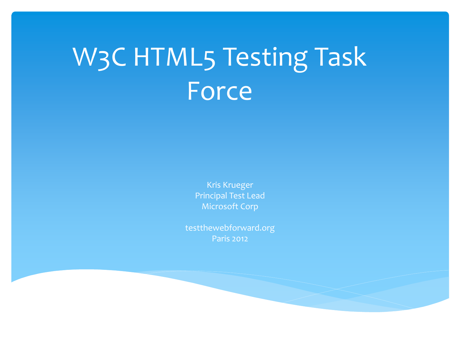## W3C HTML5 Testing Task Force

Kris Krueger Principal Test Lead Microsoft Corp

testthewebforward.org Paris 2012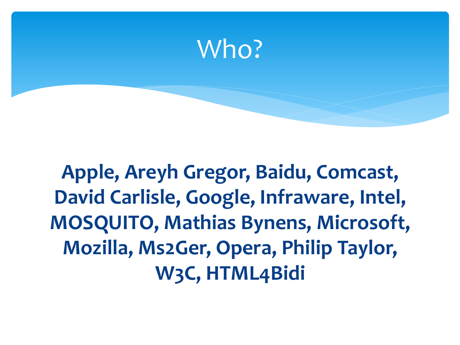

**Apple, Areyh Gregor, Baidu, Comcast, David Carlisle, Google, Infraware, Intel, MOSQUITO, Mathias Bynens, Microsoft, Mozilla, Ms2Ger, Opera, Philip Taylor, W3C, HTML4Bidi**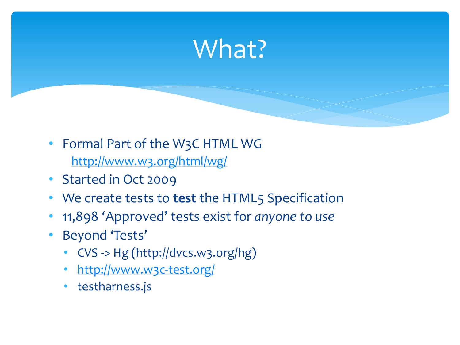## What?

- Formal Part of the W3C HTML WG <http://www.w3.org/html/wg/>
- Started in Oct 2009
- We create tests to **test** the HTML5 Specification
- 11,898 'Approved' tests exist for *anyone to use*
- Beyond 'Tests'
	- CVS -> Hg (http://dvcs.w3.org/hg)
	- <http://www.w3c-test.org/>
	- testharness.js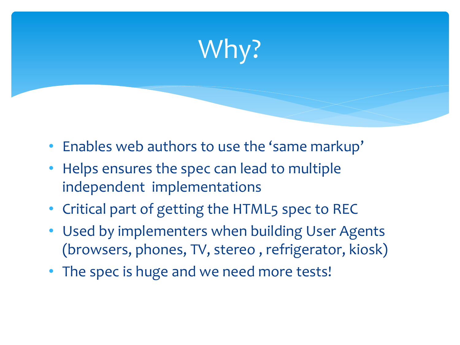## Why?

- Enables web authors to use the 'same markup'
- Helps ensures the spec can lead to multiple independent implementations
- Critical part of getting the HTML5 spec to REC
- Used by implementers when building User Agents (browsers, phones, TV, stereo , refrigerator, kiosk)
- The spec is huge and we need more tests!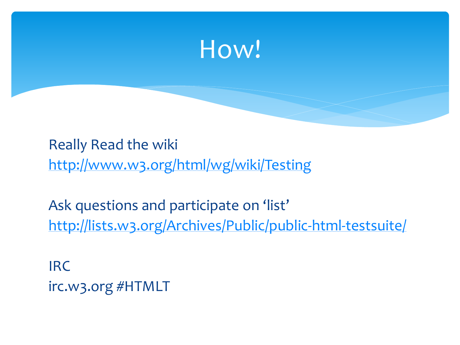

Really Read the wiki <http://www.w3.org/html/wg/wiki/Testing>

Ask questions and participate on 'list' <http://lists.w3.org/Archives/Public/public-html-testsuite/>

IRC irc.w3.org #HTMLT